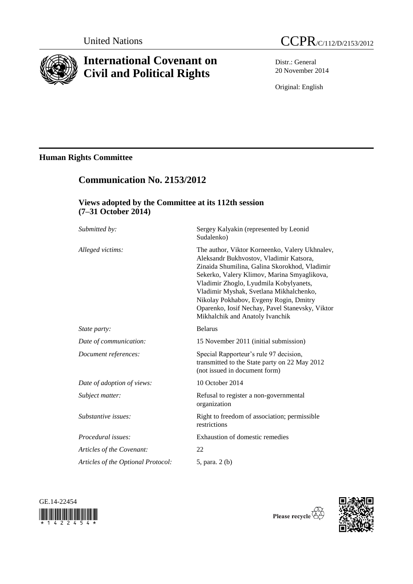

# **International Covenant on Civil and Political Rights**

**Communication No. 2153/2012**



Distr.: General 20 November 2014

Original: English

# **Human Rights Committee**

# **Views adopted by the Committee at its 112th session (7–31 October 2014)**

| Submitted by:                      | Sergey Kalyakin (represented by Leonid<br>Sudalenko)                                                                                                                                                                                                                                                                                                                                                           |
|------------------------------------|----------------------------------------------------------------------------------------------------------------------------------------------------------------------------------------------------------------------------------------------------------------------------------------------------------------------------------------------------------------------------------------------------------------|
| Alleged victims:                   | The author, Viktor Korneenko, Valery Ukhnalev,<br>Aleksandr Bukhvostov, Vladimir Katsora,<br>Zinaida Shumilina, Galina Skorokhod, Vladimir<br>Sekerko, Valery Klimov, Marina Smyaglikova,<br>Vladimir Zhoglo, Lyudmila Kobylyanets,<br>Vladimir Myshak, Svetlana Mikhalchenko,<br>Nikolay Pokhabov, Evgeny Rogin, Dmitry<br>Oparenko, Iosif Nechay, Pavel Stanevsky, Viktor<br>Mikhalchik and Anatoly Ivanchik |
| State party:                       | <b>Belarus</b>                                                                                                                                                                                                                                                                                                                                                                                                 |
| Date of communication:             | 15 November 2011 (initial submission)                                                                                                                                                                                                                                                                                                                                                                          |
| Document references:               | Special Rapporteur's rule 97 decision,<br>transmitted to the State party on 22 May 2012<br>(not issued in document form)                                                                                                                                                                                                                                                                                       |
| Date of adoption of views:         | 10 October 2014                                                                                                                                                                                                                                                                                                                                                                                                |
| Subject matter:                    | Refusal to register a non-governmental<br>organization                                                                                                                                                                                                                                                                                                                                                         |
| Substantive issues:                | Right to freedom of association; permissible<br>restrictions                                                                                                                                                                                                                                                                                                                                                   |
| Procedural issues:                 | Exhaustion of domestic remedies                                                                                                                                                                                                                                                                                                                                                                                |
| Articles of the Covenant:          | 22                                                                                                                                                                                                                                                                                                                                                                                                             |
| Articles of the Optional Protocol: | 5, para. 2 (b)                                                                                                                                                                                                                                                                                                                                                                                                 |
|                                    |                                                                                                                                                                                                                                                                                                                                                                                                                |





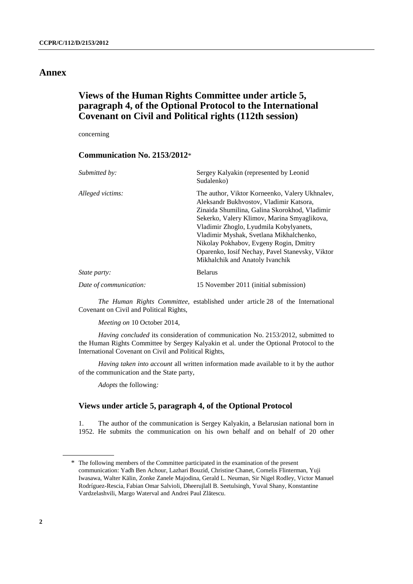# **Annex**

# **Views of the Human Rights Committee under article 5, paragraph 4, of the Optional Protocol to the International Covenant on Civil and Political rights (112th session)**

concerning

# **Communication No. 2153/2012**\*

| Submitted by:          | Sergey Kalyakin (represented by Leonid<br>Sudalenko)                                                                                                                                                                                                                                                                                                                                                           |
|------------------------|----------------------------------------------------------------------------------------------------------------------------------------------------------------------------------------------------------------------------------------------------------------------------------------------------------------------------------------------------------------------------------------------------------------|
| Alleged victims:       | The author, Viktor Korneenko, Valery Ukhnalev,<br>Aleksandr Bukhyostov, Vladimir Katsora,<br>Zinaida Shumilina, Galina Skorokhod, Vladimir<br>Sekerko, Valery Klimov, Marina Smyaglikova,<br>Vladimir Zhoglo, Lyudmila Kobylyanets,<br>Vladimir Myshak, Svetlana Mikhalchenko,<br>Nikolay Pokhabov, Evgeny Rogin, Dmitry<br>Oparenko, Iosif Nechay, Pavel Stanevsky, Viktor<br>Mikhalchik and Anatoly Ivanchik |
| <i>State party:</i>    | <b>Belarus</b>                                                                                                                                                                                                                                                                                                                                                                                                 |
| Date of communication: | 15 November 2011 (initial submission)                                                                                                                                                                                                                                                                                                                                                                          |

*The Human Rights Committee*, established under article 28 of the International Covenant on Civil and Political Rights,

*Meeting on* 10 October 2014,

*Having concluded* its consideration of communication No. 2153/2012, submitted to the Human Rights Committee by Sergey Kalyakin et al. under the Optional Protocol to the International Covenant on Civil and Political Rights,

*Having taken into account* all written information made available to it by the author of the communication and the State party,

*Adopts* the following*:*

# **Views under article 5, paragraph 4, of the Optional Protocol**

1. The author of the communication is Sergey Kalyakin, a Belarusian national born in 1952. He submits the communication on his own behalf and on behalf of 20 other

<sup>\*</sup> The following members of the Committee participated in the examination of the present communication: Yadh Ben Achour, Lazhari Bouzid, Christine Chanet, Cornelis Flinterman, Yuji Iwasawa, Walter Kälin, Zonke Zanele Majodina, Gerald L. Neuman, Sir Nigel Rodley, Victor Manuel Rodríguez-Rescia, Fabian Omar Salvioli, Dheerujlall B. Seetulsingh, Yuval Shany, Konstantine Vardzelashvili, Margo Waterval and Andrei Paul Zlătescu.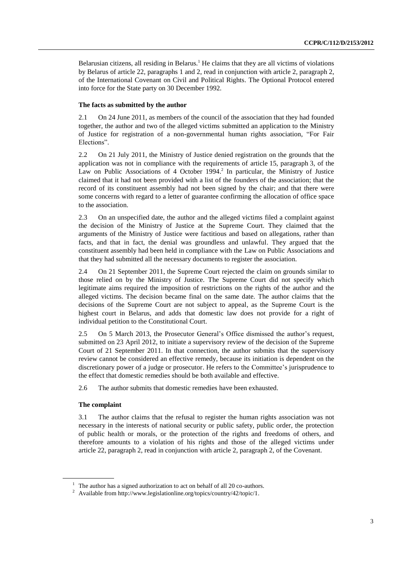Belarusian citizens, all residing in Belarus.<sup>1</sup> He claims that they are all victims of violations by Belarus of article 22, paragraphs 1 and 2, read in conjunction with article 2, paragraph 2, of the International Covenant on Civil and Political Rights. The Optional Protocol entered into force for the State party on 30 December 1992.

## **The facts as submitted by the author**

2.1 On 24 June 2011, as members of the council of the association that they had founded together, the author and two of the alleged victims submitted an application to the Ministry of Justice for registration of a non-governmental human rights association, "For Fair Elections".

2.2 On 21 July 2011, the Ministry of Justice denied registration on the grounds that the application was not in compliance with the requirements of article 15, paragraph 3, of the Law on Public Associations of 4 October 1994.<sup>2</sup> In particular, the Ministry of Justice claimed that it had not been provided with a list of the founders of the association; that the record of its constituent assembly had not been signed by the chair; and that there were some concerns with regard to a letter of guarantee confirming the allocation of office space to the association.

2.3 On an unspecified date, the author and the alleged victims filed a complaint against the decision of the Ministry of Justice at the Supreme Court. They claimed that the arguments of the Ministry of Justice were factitious and based on allegations, rather than facts, and that in fact, the denial was groundless and unlawful. They argued that the constituent assembly had been held in compliance with the Law on Public Associations and that they had submitted all the necessary documents to register the association.

2.4 On 21 September 2011, the Supreme Court rejected the claim on grounds similar to those relied on by the Ministry of Justice. The Supreme Court did not specify which legitimate aims required the imposition of restrictions on the rights of the author and the alleged victims. The decision became final on the same date. The author claims that the decisions of the Supreme Court are not subject to appeal, as the Supreme Court is the highest court in Belarus, and adds that domestic law does not provide for a right of individual petition to the Constitutional Court.

2.5 On 5 March 2013, the Prosecutor General's Office dismissed the author's request, submitted on 23 April 2012, to initiate a supervisory review of the decision of the Supreme Court of 21 September 2011. In that connection, the author submits that the supervisory review cannot be considered an effective remedy, because its initiation is dependent on the discretionary power of a judge or prosecutor. He refers to the Committee's jurisprudence to the effect that domestic remedies should be both available and effective.

2.6 The author submits that domestic remedies have been exhausted.

# **The complaint**

3.1 The author claims that the refusal to register the human rights association was not necessary in the interests of national security or public safety, public order, the protection of public health or morals, or the protection of the rights and freedoms of others, and therefore amounts to a violation of his rights and those of the alleged victims under article 22, paragraph 2, read in conjunction with article 2, paragraph 2, of the Covenant.

 $1$  The author has a signed authorization to act on behalf of all 20 co-authors.

<sup>&</sup>lt;sup>2</sup> Available from [http://www.legislationline.org/topics/country/42/topic/1.](http://www.legislationline.org/topics/country/42/topic/1)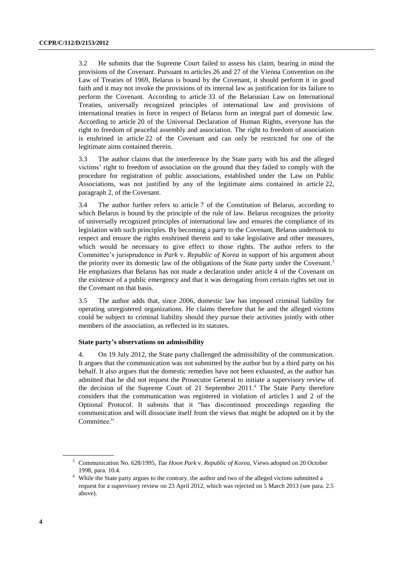3.2 He submits that the Supreme Court failed to assess his claim, bearing in mind the provisions of the Covenant. Pursuant to articles 26 and 27 of the Vienna Convention on the Law of Treaties of 1969, Belarus is bound by the Covenant, it should perform it in good faith and it may not invoke the provisions of its internal law as justification for its failure to perform the Covenant. According to article 33 of the Belarusian Law on International Treaties, universally recognized principles of international law and provisions of international treaties in force in respect of Belarus form an integral part of domestic law. According to article 20 of the Universal Declaration of Human Rights, everyone has the right to freedom of peaceful assembly and association. The right to freedom of association is enshrined in article 22 of the Covenant and can only be restricted for one of the legitimate aims contained therein.

3.3 The author claims that the interference by the State party with his and the alleged victims' right to freedom of association on the ground that they failed to comply with the procedure for registration of public associations, established under the Law on Public Associations, was not justified by any of the legitimate aims contained in article 22, paragraph 2, of the Covenant.

3.4 The author further refers to article 7 of the Constitution of Belarus, according to which Belarus is bound by the principle of the rule of law. Belarus recognizes the priority of universally recognized principles of international law and ensures the compliance of its legislation with such principles. By becoming a party to the Covenant, Belarus undertook to respect and ensure the rights enshrined therein and to take legislative and other measures, which would be necessary to give effect to those rights. The author refers to the Committee's jurisprudence in *Park* v. *Republic of Korea* in support of his argument about the priority over its domestic law of the obligations of the State party under the Covenant.<sup>3</sup> He emphasizes that Belarus has not made a declaration under article 4 of the Covenant on the existence of a public emergency and that it was derogating from certain rights set out in the Covenant on that basis.

3.5 The author adds that, since 2006, domestic law has imposed criminal liability for operating unregistered organizations. He claims therefore that he and the alleged victims could be subject to criminal liability should they pursue their activities jointly with other members of the association, as reflected in its statutes.

### **State party's observations on admissibility**

4. On 19 July 2012, the State party challenged the admissibility of the communication. It argues that the communication was not submitted by the author but by a third party on his behalf. It also argues that the domestic remedies have not been exhausted, as the author has admitted that he did not request the Prosecutor General to initiate a supervisory review of the decision of the Supreme Court of 21 September 2011. <sup>4</sup> The State Party therefore considers that the communication was registered in violation of articles 1 and 2 of the Optional Protocol. It submits that it "has discontinued proceedings regarding the communication and will dissociate itself from the views that might be adopted on it by the Committee."

<sup>3</sup> Communication No. 628/1995, *Tae Hoon Park* v. *Republic of Korea*, Views adopted on 20 October 1998, para. 10.4.

<sup>&</sup>lt;sup>4</sup> While the State party argues to the contrary, the author and two of the alleged victims submitted a request for a supervisory review on 23 April 2012, which was rejected on 5 March 2013 (see para. 2.5 above).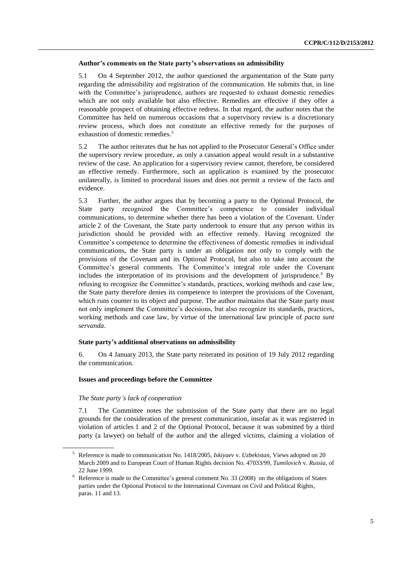## **Author's comments on the State party's observations on admissibility**

5.1 On 4 September 2012, the author questioned the argumentation of the State party regarding the admissibility and registration of the communication. He submits that, in line with the Committee's jurisprudence, authors are requested to exhaust domestic remedies which are not only available but also effective. Remedies are effective if they offer a reasonable prospect of obtaining effective redress. In that regard, the author notes that the Committee has held on numerous occasions that a supervisory review is a discretionary review process, which does not constitute an effective remedy for the purposes of exhaustion of domestic remedies.<sup>5</sup>

5.2 The author reiterates that he has not applied to the Prosecutor General's Office under the supervisory review procedure, as only a cassation appeal would result in a substantive review of the case. An application for a supervisory review cannot, therefore, be considered an effective remedy. Furthermore, such an application is examined by the prosecutor unilaterally, is limited to procedural issues and does not permit a review of the facts and evidence.

5.3 Further, the author argues that by becoming a party to the Optional Protocol, the State party recognized the Committee's competence to consider individual communications, to determine whether there has been a violation of the Covenant. Under article 2 of the Covenant, the State party undertook to ensure that any person within its jurisdiction should be provided with an effective remedy. Having recognized the Committee's competence to determine the effectiveness of domestic remedies in individual communications, the State party is under an obligation not only to comply with the provisions of the Covenant and its Optional Protocol, but also to take into account the Committee's general comments. The Committee's integral role under the Covenant includes the interpretation of its provisions and the development of jurisprudence.<sup>6</sup> By refusing to recognize the Committee's standards, practices, working methods and case law, the State party therefore denies its competence to interpret the provisions of the Covenant, which runs counter to its object and purpose. The author maintains that the State party must not only implement the Committee's decisions, but also recognize its standards, practices, working methods and case law, by virtue of the international law principle of *pacta sunt servanda*.

### **State party's additional observations on admissibility**

6. On 4 January 2013, the State party reiterated its position of 19 July 2012 regarding the communication.

## **Issues and proceedings before the Committee**

### *The State party's lack of cooperation*

7.1 The Committee notes the submission of the State party that there are no legal grounds for the consideration of the present communication, insofar as it was registered in violation of articles 1 and 2 of the Optional Protocol, because it was submitted by a third party (a lawyer) on behalf of the author and the alleged victims, claiming a violation of

<sup>5</sup> Reference is made to communication No. 1418/2005, *Iskiyaev* v. *Uzbekistan*, Views adopted on 20 March 2009 and to European Court of Human Rights decision No. 47033/99, *Tumilovich* v. *Russia*, of 22 June 1999.

<sup>6</sup> Reference is made to the Committee's general comment No. 33 (2008) on the obligations of States parties under the Optional Protocol to the International Covenant on Civil and Political Rights, paras. 11 and 13.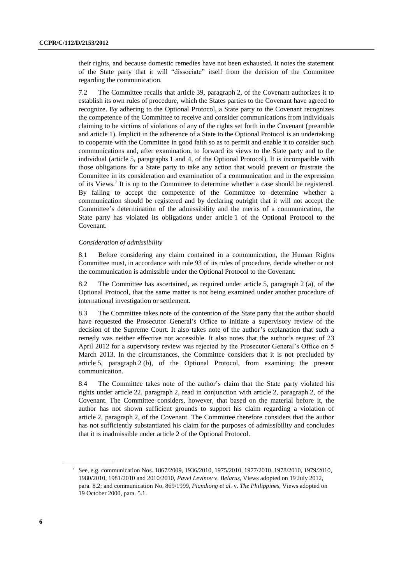their rights, and because domestic remedies have not been exhausted. It notes the statement of the State party that it will "dissociate" itself from the decision of the Committee regarding the communication.

7.2 The Committee recalls that article 39, paragraph 2, of the Covenant authorizes it to establish its own rules of procedure, which the States parties to the Covenant have agreed to recognize. By adhering to the Optional Protocol, a State party to the Covenant recognizes the competence of the Committee to receive and consider communications from individuals claiming to be victims of violations of any of the rights set forth in the Covenant (preamble and article 1). Implicit in the adherence of a State to the Optional Protocol is an undertaking to cooperate with the Committee in good faith so as to permit and enable it to consider such communications and, after examination, to forward its views to the State party and to the individual (article 5, paragraphs 1 and 4, of the Optional Protocol). It is incompatible with those obligations for a State party to take any action that would prevent or frustrate the Committee in its consideration and examination of a communication and in the expression of its Views.<sup>7</sup> It is up to the Committee to determine whether a case should be registered. By failing to accept the competence of the Committee to determine whether a communication should be registered and by declaring outright that it will not accept the Committee's determination of the admissibility and the merits of a communication, the State party has violated its obligations under article 1 of the Optional Protocol to the Covenant.

## *Consideration of admissibility*

8.1 Before considering any claim contained in a communication, the Human Rights Committee must, in accordance with rule 93 of its rules of procedure, decide whether or not the communication is admissible under the Optional Protocol to the Covenant.

8.2 The Committee has ascertained, as required under article 5, paragraph 2 (a), of the Optional Protocol, that the same matter is not being examined under another procedure of international investigation or settlement.

8.3 The Committee takes note of the contention of the State party that the author should have requested the Prosecutor General's Office to initiate a supervisory review of the decision of the Supreme Court. It also takes note of the author's explanation that such a remedy was neither effective nor accessible. It also notes that the author's request of 23 April 2012 for a supervisory review was rejected by the Prosecutor General's Office on 5 March 2013. In the circumstances, the Committee considers that it is not precluded by article 5, paragraph 2 (b), of the Optional Protocol, from examining the present communication.

8.4 The Committee takes note of the author's claim that the State party violated his rights under article 22, paragraph 2, read in conjunction with article 2, paragraph 2, of the Covenant. The Committee considers, however, that based on the material before it, the author has not shown sufficient grounds to support his claim regarding a violation of article 2, paragraph 2, of the Covenant. The Committee therefore considers that the author has not sufficiently substantiated his claim for the purposes of admissibility and concludes that it is inadmissible under article 2 of the Optional Protocol.

<sup>7</sup> See, e.g. communication Nos. 1867/2009, 1936/2010, 1975/2010, 1977/2010, 1978/2010, 1979/2010, 1980/2010, 1981/2010 and 2010/2010, *Pavel Levinov* v. *Belarus*, Views adopted on 19 July 2012, para. 8.2; and communication No. 869/1999, *Piandiong et al.* v. *The Philippines*, Views adopted on 19 October 2000, para. 5.1.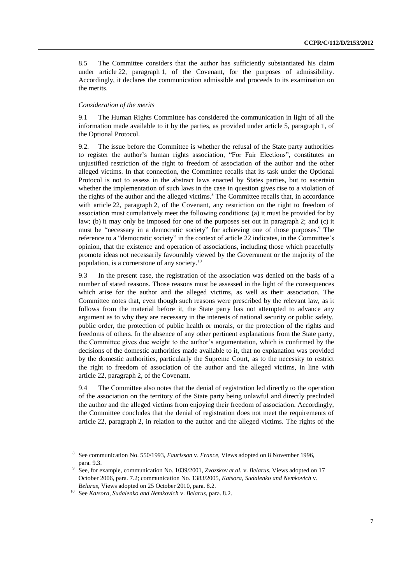8.5 The Committee considers that the author has sufficiently substantiated his claim under article 22, paragraph 1, of the Covenant, for the purposes of admissibility. Accordingly, it declares the communication admissible and proceeds to its examination on the merits.

## *Consideration of the merits*

9.1 The Human Rights Committee has considered the communication in light of all the information made available to it by the parties, as provided under article 5, paragraph 1, of the Optional Protocol.

9.2. The issue before the Committee is whether the refusal of the State party authorities to register the author's human rights association, "For Fair Elections", constitutes an unjustified restriction of the right to freedom of association of the author and the other alleged victims. In that connection, the Committee recalls that its task under the Optional Protocol is not to assess in the abstract laws enacted by States parties, but to ascertain whether the implementation of such laws in the case in question gives rise to a violation of the rights of the author and the alleged victims.<sup>8</sup> The Committee recalls that, in accordance with article 22, paragraph 2, of the Covenant, any restriction on the right to freedom of association must cumulatively meet the following conditions: (a) it must be provided for by law; (b) it may only be imposed for one of the purposes set out in paragraph 2; and (c) it must be "necessary in a democratic society" for achieving one of those purposes.<sup>9</sup> The reference to a "democratic society" in the context of article 22 indicates, in the Committee's opinion, that the existence and operation of associations, including those which peacefully promote ideas not necessarily favourably viewed by the Government or the majority of the population, is a cornerstone of any society.<sup>10</sup>

9.3 In the present case, the registration of the association was denied on the basis of a number of stated reasons. Those reasons must be assessed in the light of the consequences which arise for the author and the alleged victims, as well as their association. The Committee notes that, even though such reasons were prescribed by the relevant law, as it follows from the material before it, the State party has not attempted to advance any argument as to why they are necessary in the interests of national security or public safety, public order, the protection of public health or morals, or the protection of the rights and freedoms of others. In the absence of any other pertinent explanations from the State party, the Committee gives due weight to the author's argumentation, which is confirmed by the decisions of the domestic authorities made available to it, that no explanation was provided by the domestic authorities, particularly the Supreme Court, as to the necessity to restrict the right to freedom of association of the author and the alleged victims, in line with article 22, paragraph 2, of the Covenant.

9.4 The Committee also notes that the denial of registration led directly to the operation of the association on the territory of the State party being unlawful and directly precluded the author and the alleged victims from enjoying their freedom of association. Accordingly, the Committee concludes that the denial of registration does not meet the requirements of article 22, paragraph 2, in relation to the author and the alleged victims. The rights of the

<sup>8</sup> See communication No. 550/1993, *Faurisson* v. *France*, Views adopted on 8 November 1996, para. 9.3.

<sup>9</sup> See, for example, communication No. 1039/2001, *Zvozskov et al.* v. *Belarus*, Views adopted on 17 October 2006, para. 7.2; communication No. 1383/2005, *Katsora, Sudalenko and Nemkovich* v. *Belarus*, Views adopted on 25 October 2010, para. 8.2.

<sup>10</sup> See *Katsora, Sudalenko and Nemkovich* v. *Belarus*, para. 8.2.